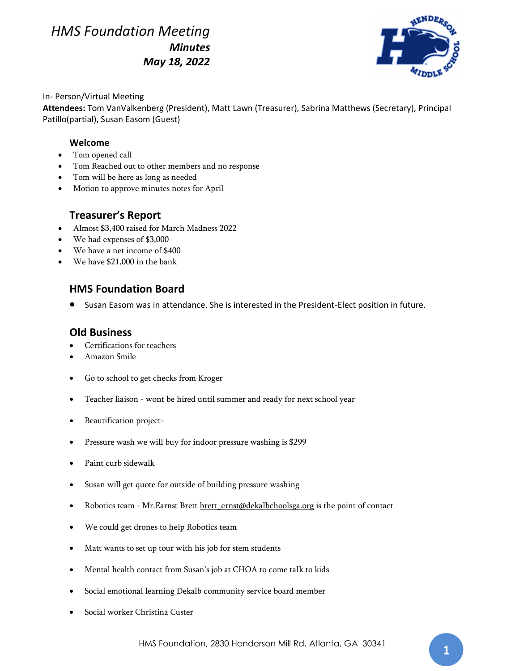# *HMS Foundation Meeting Minutes May 18, 2022*



#### In- Person/Virtual Meeting

**Attendees:** Tom VanValkenberg (President), Matt Lawn (Treasurer), Sabrina Matthews (Secretary), Principal Patillo(partial), Susan Easom (Guest)

### **Welcome**

- Tom opened call
- Tom Reached out to other members and no response
- Tom will be here as long as needed
- Motion to approve minutes notes for April

### **Treasurer's Report**

- Almost \$3,400 raised for March Madness 2022
- We had expenses of \$3,000
- We have a net income of \$400
- We have \$21,000 in the bank

## **HMS Foundation Board**

• Susan Easom was in attendance. She is interested in the President-Elect position in future.

## **Old Business**

- Certifications for teachers
- Amazon Smile
- Go to school to get checks from Kroger
- Teacher liaison wont be hired until summer and ready for next school year
- Beautification project-
- Pressure wash we will buy for indoor pressure washing is \$299
- Paint curb sidewalk
- Susan will get quote for outside of building pressure washing
- Robotics team Mr.Earnst Brett brett ernst@dekalbchoolsga.org is the point of contact
- We could get drones to help Robotics team
- Matt wants to set up tour with his job for stem students
- Mental health contact from Susan's job at CHOA to come talk to kids
- Social emotional learning Dekalb community service board member
- Social worker Christina Custer